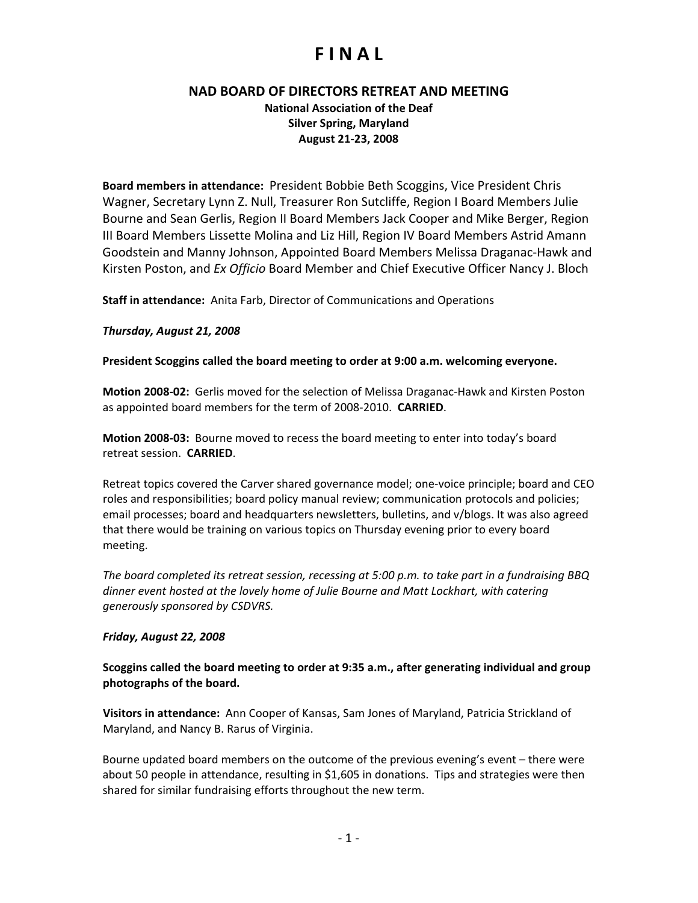### **NAD BOARD OF DIRECTORS RETREAT AND MEETING**

**National Association of the Deaf Silver Spring, Maryland August 21‐23, 2008**

**Board members in attendance:** President Bobbie Beth Scoggins, Vice President Chris Wagner, Secretary Lynn Z. Null, Treasurer Ron Sutcliffe, Region I Board Members Julie Bourne and Sean Gerlis, Region II Board Members Jack Cooper and Mike Berger, Region III Board Members Lissette Molina and Liz Hill, Region IV Board Members Astrid Amann Goodstein and Manny Johnson, Appointed Board Members Melissa Draganac‐Hawk and Kirsten Poston, and *Ex Officio* Board Member and Chief Executive Officer Nancy J. Bloch

**Staff in attendance:** Anita Farb, Director of Communications and Operations

### *Thursday, August 21, 2008*

**President Scoggins called the board meeting to order at 9:00 a.m. welcoming everyone.** 

**Motion 2008‐02:** Gerlis moved for the selection of Melissa Draganac‐Hawk and Kirsten Poston as appointed board members for the term of 2008‐2010. **CARRIED**.

**Motion 2008‐03:** Bourne moved to recess the board meeting to enter into today's board retreat session. **CARRIED**.

Retreat topics covered the Carver shared governance model; one‐voice principle; board and CEO roles and responsibilities; board policy manual review; communication protocols and policies; email processes; board and headquarters newsletters, bulletins, and v/blogs. It was also agreed that there would be training on various topics on Thursday evening prior to every board meeting.

*The board completed its retreat session, recessing at 5:00 p.m. to take part in a fundraising BBQ dinner event hosted at the lovely home of Julie Bourne and Matt Lockhart, with catering generously sponsored by CSDVRS.*

### *Friday, August 22, 2008*

**Scoggins called the board meeting to order at 9:35 a.m., after generating individual and group photographs of the board.** 

**Visitors in attendance:** Ann Cooper of Kansas, Sam Jones of Maryland, Patricia Strickland of Maryland, and Nancy B. Rarus of Virginia.

Bourne updated board members on the outcome of the previous evening's event – there were about 50 people in attendance, resulting in \$1,605 in donations. Tips and strategies were then shared for similar fundraising efforts throughout the new term.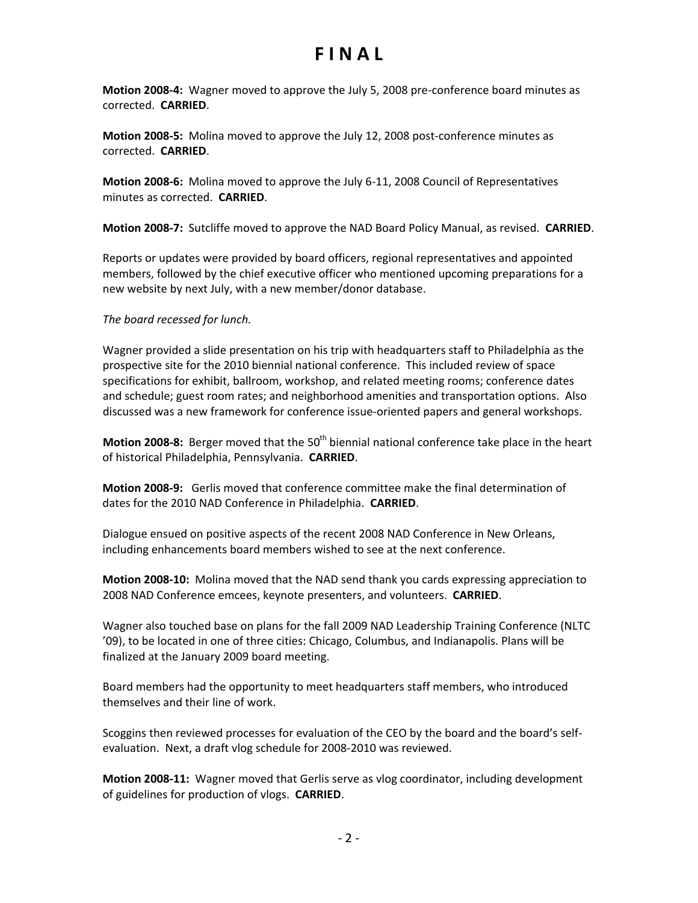**Motion 2008‐4:** Wagner moved to approve the July 5, 2008 pre‐conference board minutes as corrected. **CARRIED**.

**Motion 2008‐5:** Molina moved to approve the July 12, 2008 post‐conference minutes as corrected. **CARRIED**.

**Motion 2008‐6:** Molina moved to approve the July 6‐11, 2008 Council of Representatives minutes as corrected. **CARRIED**.

**Motion 2008‐7:** Sutcliffe moved to approve the NAD Board Policy Manual, as revised. **CARRIED**.

Reports or updates were provided by board officers, regional representatives and appointed members, followed by the chief executive officer who mentioned upcoming preparations for a new website by next July, with a new member/donor database.

*The board recessed for lunch.*

Wagner provided a slide presentation on his trip with headquarters staff to Philadelphia as the prospective site for the 2010 biennial national conference. This included review of space specifications for exhibit, ballroom, workshop, and related meeting rooms; conference dates and schedule; guest room rates; and neighborhood amenities and transportation options. Also discussed was a new framework for conference issue‐oriented papers and general workshops.

**Motion 2008-8:** Berger moved that the 50<sup>th</sup> biennial national conference take place in the heart of historical Philadelphia, Pennsylvania. **CARRIED**.

**Motion 2008‐9:** Gerlis moved that conference committee make the final determination of dates for the 2010 NAD Conference in Philadelphia. **CARRIED**.

Dialogue ensued on positive aspects of the recent 2008 NAD Conference in New Orleans, including enhancements board members wished to see at the next conference.

**Motion 2008‐10:** Molina moved that the NAD send thank you cards expressing appreciation to 2008 NAD Conference emcees, keynote presenters, and volunteers. **CARRIED**.

Wagner also touched base on plans for the fall 2009 NAD Leadership Training Conference (NLTC '09), to be located in one of three cities: Chicago, Columbus, and Indianapolis. Plans will be finalized at the January 2009 board meeting.

Board members had the opportunity to meet headquarters staff members, who introduced themselves and their line of work.

Scoggins then reviewed processes for evaluation of the CEO by the board and the board's self‐ evaluation. Next, a draft vlog schedule for 2008‐2010 was reviewed.

**Motion 2008‐11:** Wagner moved that Gerlis serve as vlog coordinator, including development of guidelines for production of vlogs. **CARRIED**.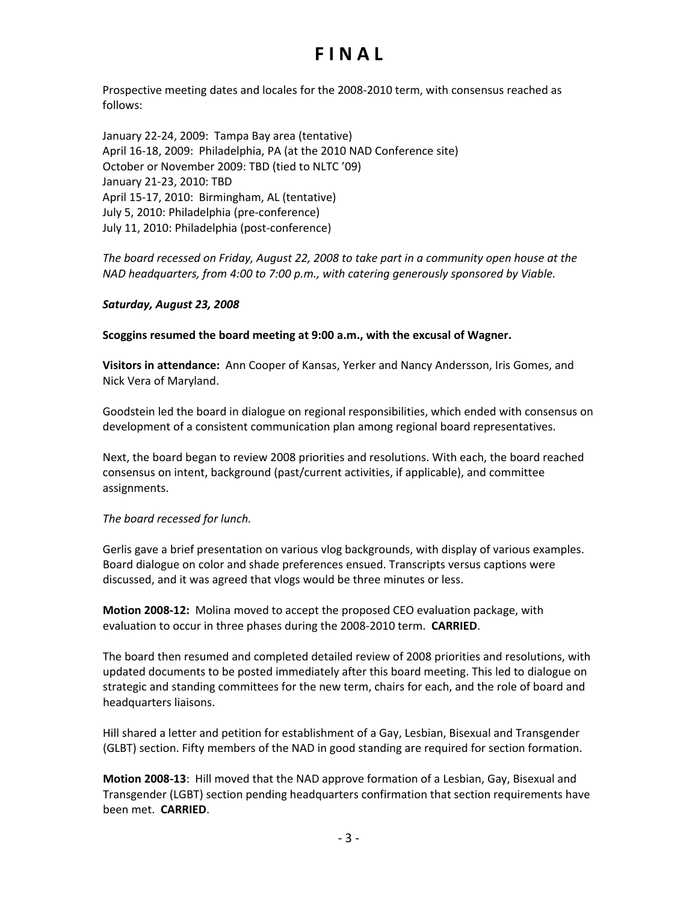Prospective meeting dates and locales for the 2008‐2010 term, with consensus reached as follows:

January 22‐24, 2009: Tampa Bay area (tentative) April 16‐18, 2009: Philadelphia, PA (at the 2010 NAD Conference site) October or November 2009: TBD (tied to NLTC '09) January 21‐23, 2010: TBD April 15‐17, 2010: Birmingham, AL (tentative) July 5, 2010: Philadelphia (pre‐conference) July 11, 2010: Philadelphia (post‐conference)

*The board recessed on Friday, August 22, 2008 to take part in a community open house at the NAD headquarters, from 4:00 to 7:00 p.m., with catering generously sponsored by Viable.* 

#### *Saturday, August 23, 2008*

**Scoggins resumed the board meeting at 9:00 a.m., with the excusal of Wagner.** 

**Visitors in attendance:** Ann Cooper of Kansas, Yerker and Nancy Andersson, Iris Gomes, and Nick Vera of Maryland.

Goodstein led the board in dialogue on regional responsibilities, which ended with consensus on development of a consistent communication plan among regional board representatives.

Next, the board began to review 2008 priorities and resolutions. With each, the board reached consensus on intent, background (past/current activities, if applicable), and committee assignments.

#### *The board recessed for lunch.*

Gerlis gave a brief presentation on various vlog backgrounds, with display of various examples. Board dialogue on color and shade preferences ensued. Transcripts versus captions were discussed, and it was agreed that vlogs would be three minutes or less.

**Motion 2008‐12:** Molina moved to accept the proposed CEO evaluation package, with evaluation to occur in three phases during the 2008‐2010 term. **CARRIED**.

The board then resumed and completed detailed review of 2008 priorities and resolutions, with updated documents to be posted immediately after this board meeting. This led to dialogue on strategic and standing committees for the new term, chairs for each, and the role of board and headquarters liaisons.

Hill shared a letter and petition for establishment of a Gay, Lesbian, Bisexual and Transgender (GLBT) section. Fifty members of the NAD in good standing are required for section formation.

**Motion 2008‐13**: Hill moved that the NAD approve formation of a Lesbian, Gay, Bisexual and Transgender (LGBT) section pending headquarters confirmation that section requirements have been met. **CARRIED**.